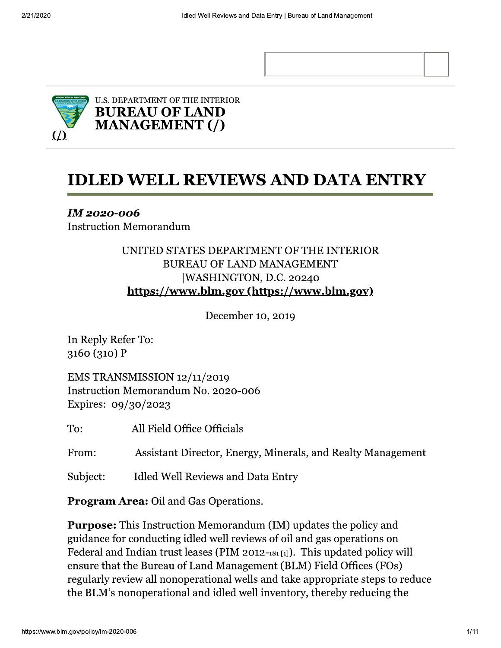

# **IDLED WELL REVIEWS AND DATA ENTRY**

**IM 2020-006 Instruction Memorandum** 

### UNITED STATES DEPARTMENT OF THE INTERIOR **BUREAU OF LAND MANAGEMENT** |WASHINGTON, D.C. 20240 https://www.blm.gov/https://www.blm.gov)

December 10, 2019

In Reply Refer To:  $3160(310)P$ 

EMS TRANSMISSION 12/11/2019 Instruction Memorandum No. 2020-006 Expires: 09/30/2023

To: All Field Office Officials

From: Assistant Director, Energy, Minerals, and Realty Management

Subject: Idled Well Reviews and Data Entry

**Program Area:** Oil and Gas Operations.

**Purpose:** This Instruction Memorandum (IM) updates the policy and guidance for conducting idled well reviews of oil and gas operations on Federal and Indian trust leases (PIM 2012-181[1]). This updated policy will ensure that the Bureau of Land Management (BLM) Field Offices (FOs) regularly review all nonoperational wells and take appropriate steps to reduce the BLM's nonoperational and idled well inventory, thereby reducing the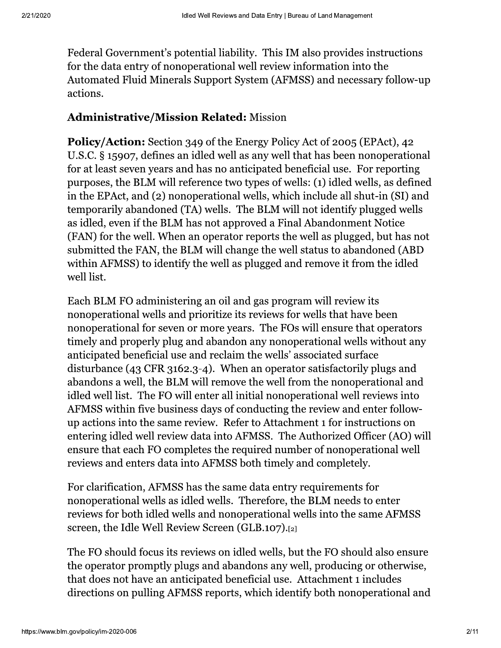Federal Government's potential liability. This IM also provides instructions for the data entry of nonoperational well review information into the Automated Fluid Minerals Support System (AFMSS) and necessary follow-up actions.

#### **Administrative/Mission Related: Mission**

Policy/Action: Section 349 of the Energy Policy Act of 2005 (EPAct), 42 U.S.C. § 15907, defines an idled well as any well that has been nonoperational for at least seven years and has no anticipated beneficial use. For reporting purposes, the BLM will reference two types of wells: (1) idled wells, as defined in the EPAct, and (2) nonoperational wells, which include all shut-in (SI) and temporarily abandoned (TA) wells. The BLM will not identify plugged wells as idled, even if the BLM has not approved a Final Abandonment Notice (FAN) for the well. When an operator reports the well as plugged, but has not submitted the FAN, the BLM will change the well status to abandoned (ABD) within AFMSS) to identify the well as plugged and remove it from the idled well list.

Each BLM FO administering an oil and gas program will review its nonoperational wells and prioritize its reviews for wells that have been nonoperational for seven or more years. The FOs will ensure that operators timely and properly plug and abandon any nonoperational wells without any anticipated beneficial use and reclaim the wells' associated surface disturbance  $(43 \text{ CFR } 3162.3 - 4)$ . When an operator satisfactorily plugs and abandons a well, the BLM will remove the well from the nonoperational and idled well list. The FO will enter all initial nonoperational well reviews into AFMSS within five business days of conducting the review and enter followup actions into the same review. Refer to Attachment 1 for instructions on entering idled well review data into AFMSS. The Authorized Officer (AO) will ensure that each FO completes the required number of nonoperational well reviews and enters data into AFMSS both timely and completely.

For clarification, AFMSS has the same data entry requirements for nonoperational wells as idled wells. Therefore, the BLM needs to enter reviews for both idled wells and nonoperational wells into the same AFMSS screen, the Idle Well Review Screen (GLB.107).[2]

The FO should focus its reviews on idled wells, but the FO should also ensure the operator promptly plugs and abandons any well, producing or otherwise, that does not have an anticipated beneficial use. Attachment 1 includes directions on pulling AFMSS reports, which identify both nonoperational and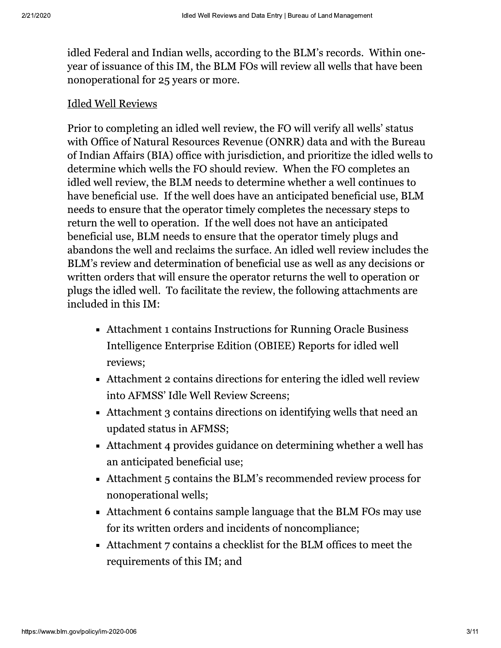idled Federal and Indian wells, according to the BLM's records. Within oneyear of issuance of this IM, the BLM FOs will review all wells that have been nonoperational for 25 years or more.

#### **Idled Well Reviews**

Prior to completing an idled well review, the FO will verify all wells' status with Office of Natural Resources Revenue (ONRR) data and with the Bureau of Indian Affairs (BIA) office with jurisdiction, and prioritize the idled wells to determine which wells the FO should review. When the FO completes an idled well review, the BLM needs to determine whether a well continues to have beneficial use. If the well does have an anticipated beneficial use, BLM needs to ensure that the operator timely completes the necessary steps to return the well to operation. If the well does not have an anticipated beneficial use, BLM needs to ensure that the operator timely plugs and abandons the well and reclaims the surface. An idled well review includes the BLM's review and determination of beneficial use as well as any decisions or written orders that will ensure the operator returns the well to operation or plugs the idled well. To facilitate the review, the following attachments are included in this IM:

- Attachment 1 contains Instructions for Running Oracle Business Intelligence Enterprise Edition (OBIEE) Reports for idled well reviews;
- Attachment 2 contains directions for entering the idled well review into AFMSS' Idle Well Review Screens;
- Attachment 3 contains directions on identifying wells that need an updated status in AFMSS;
- Attachment 4 provides guidance on determining whether a well has an anticipated beneficial use;
- Attachment 5 contains the BLM's recommended review process for nonoperational wells;
- Attachment 6 contains sample language that the BLM FOs may use for its written orders and incidents of noncompliance;
- Attachment 7 contains a checklist for the BLM offices to meet the requirements of this IM; and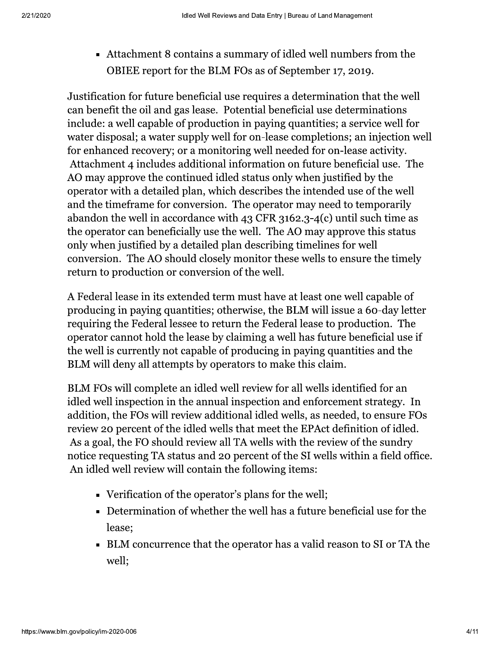• Attachment 8 contains a summary of idled well numbers from the OBIEE report for the BLM FOs as of September 17, 2019.

Justification for future beneficial use requires a determination that the well can benefit the oil and gas lease. Potential beneficial use determinations include: a well capable of production in paying quantities; a service well for water disposal; a water supply well for on-lease completions; an injection well for enhanced recovery; or a monitoring well needed for on-lease activity. Attachment 4 includes additional information on future beneficial use. The AO may approve the continued idled status only when justified by the operator with a detailed plan, which describes the intended use of the well and the timeframe for conversion. The operator may need to temporarily abandon the well in accordance with 43 CFR 3162.3-4(c) until such time as the operator can beneficially use the well. The AO may approve this status only when justified by a detailed plan describing timelines for well conversion. The AO should closely monitor these wells to ensure the timely return to production or conversion of the well.

A Federal lease in its extended term must have at least one well capable of producing in paying quantities; otherwise, the BLM will issue a 60-day letter requiring the Federal lessee to return the Federal lease to production. The operator cannot hold the lease by claiming a well has future beneficial use if the well is currently not capable of producing in paying quantities and the BLM will deny all attempts by operators to make this claim.

BLM FOs will complete an idled well review for all wells identified for an idled well inspection in the annual inspection and enforcement strategy. In addition, the FOs will review additional idled wells, as needed, to ensure FOs review 20 percent of the idled wells that meet the EPAct definition of idled. As a goal, the FO should review all TA wells with the review of the sundry notice requesting TA status and 20 percent of the SI wells within a field office. An idled well review will contain the following items:

- Verification of the operator's plans for the well;
- Determination of whether the well has a future beneficial use for the lease:
- BLM concurrence that the operator has a valid reason to SI or TA the well;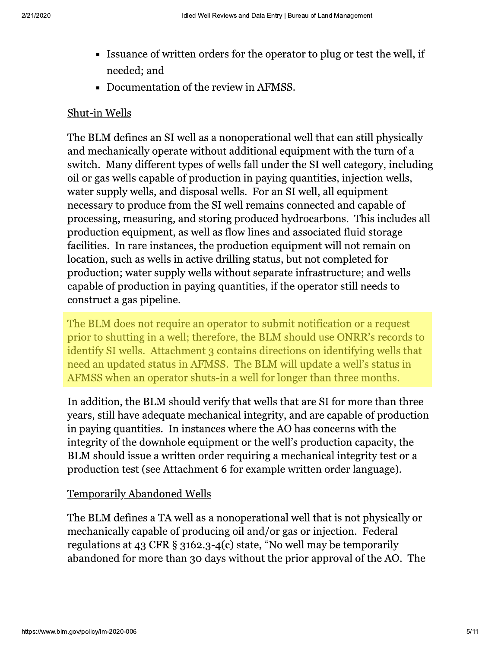- Issuance of written orders for the operator to plug or test the well, if needed; and
- Documentation of the review in AFMSS.

#### Shut-in Wells

The BLM defines an SI well as a nonoperational well that can still physically and mechanically operate without additional equipment with the turn of a switch. Many different types of wells fall under the SI well category, including oil or gas wells capable of production in paying quantities, injection wells, water supply wells, and disposal wells. For an SI well, all equipment necessary to produce from the SI well remains connected and capable of processing, measuring, and storing produced hydrocarbons. This includes all production equipment, as well as flow lines and associated fluid storage facilities. In rare instances, the production equipment will not remain on location, such as wells in active drilling status, but not completed for production; water supply wells without separate infrastructure; and wells capable of production in paying quantities, if the operator still needs to construct a gas pipeline.

The BLM does not require an operator to submit notification or a request prior to shutting in a well; therefore, the BLM should use ONRR's records to identify SI wells. Attachment 3 contains directions on identifying wells that need an updated status in AFMSS. The BLM will update a well's status in AFMSS when an operator shuts-in a well for longer than three months.

In addition, the BLM should verify that wells that are SI for more than three years, still have adequate mechanical integrity, and are capable of production in paying quantities. In instances where the AO has concerns with the integrity of the downhole equipment or the well's production capacity, the BLM should issue a written order requiring a mechanical integrity test or a production test (see Attachment 6 for example written order language).

#### **Temporarily Abandoned Wells**

The BLM defines a TA well as a nonoperational well that is not physically or mechanically capable of producing oil and/or gas or injection. Federal regulations at 43 CFR § 3162.3-4(c) state, "No well may be temporarily abandoned for more than 30 days without the prior approval of the AO. The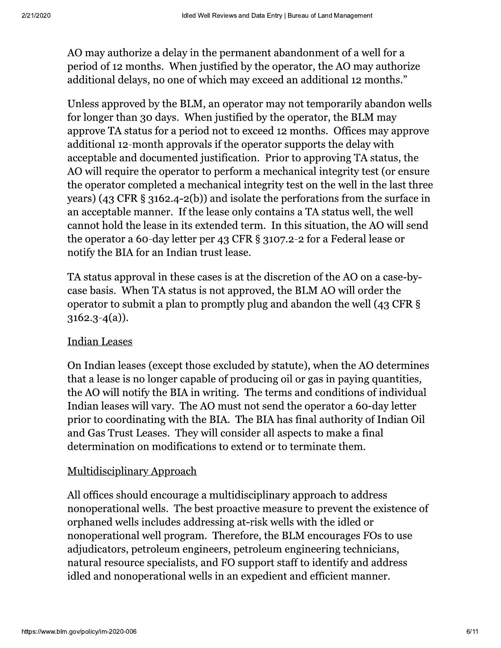AO may authorize a delay in the permanent abandonment of a well for a period of 12 months. When justified by the operator, the AO may authorize additional delays, no one of which may exceed an additional 12 months."

Unless approved by the BLM, an operator may not temporarily abandon wells for longer than 30 days. When justified by the operator, the BLM may approve TA status for a period not to exceed 12 months. Offices may approve additional 12-month approvals if the operator supports the delay with acceptable and documented justification. Prior to approving TA status, the AO will require the operator to perform a mechanical integrity test (or ensure the operator completed a mechanical integrity test on the well in the last three years) (43 CFR  $\S$  3162.4-2(b)) and isolate the perforations from the surface in an acceptable manner. If the lease only contains a TA status well, the well cannot hold the lease in its extended term. In this situation, the AO will send the operator a 60-day letter per 43 CFR § 3107.2-2 for a Federal lease or notify the BIA for an Indian trust lease.

TA status approval in these cases is at the discretion of the AO on a case-bycase basis. When TA status is not approved, the BLM AO will order the operator to submit a plan to promptly plug and abandon the well (43 CFR §  $3162.3 - 4(a)$ ).

#### **Indian Leases**

On Indian leases (except those excluded by statute), when the AO determines that a lease is no longer capable of producing oil or gas in paying quantities, the AO will notify the BIA in writing. The terms and conditions of individual Indian leases will vary. The AO must not send the operator a 60-day letter prior to coordinating with the BIA. The BIA has final authority of Indian Oil and Gas Trust Leases. They will consider all aspects to make a final determination on modifications to extend or to terminate them.

#### Multidisciplinary Approach

All offices should encourage a multidisciplinary approach to address nonoperational wells. The best proactive measure to prevent the existence of orphaned wells includes addressing at-risk wells with the idled or nonoperational well program. Therefore, the BLM encourages FOs to use adjudicators, petroleum engineers, petroleum engineering technicians, natural resource specialists, and FO support staff to identify and address idled and nonoperational wells in an expedient and efficient manner.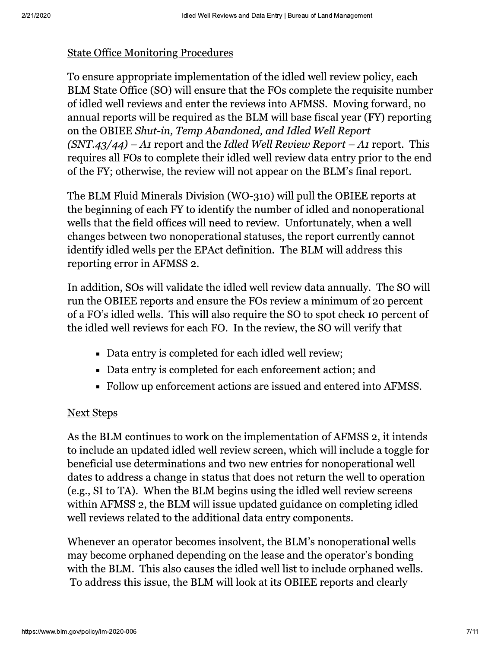#### **State Office Monitoring Procedures**

To ensure appropriate implementation of the idled well review policy, each BLM State Office (SO) will ensure that the FOs complete the requisite number of idled well reviews and enter the reviews into AFMSS. Moving forward, no annual reports will be required as the BLM will base fiscal year (FY) reporting on the OBIEE Shut-in, Temp Abandoned, and Idled Well Report  $(SNT.43/44) - A1$  report and the Idled Well Review Report – A1 report. This requires all FOs to complete their idled well review data entry prior to the end of the FY; otherwise, the review will not appear on the BLM's final report.

The BLM Fluid Minerals Division (WO-310) will pull the OBIEE reports at the beginning of each FY to identify the number of idled and nonoperational wells that the field offices will need to review. Unfortunately, when a well changes between two nonoperational statuses, the report currently cannot identify idled wells per the EPAct definition. The BLM will address this reporting error in AFMSS 2.

In addition, SOs will validate the idled well review data annually. The SO will run the OBIEE reports and ensure the FOs review a minimum of 20 percent of a FO's idled wells. This will also require the SO to spot check 10 percent of the idled well reviews for each FO. In the review, the SO will verify that

- Data entry is completed for each idled well review;
- Data entry is completed for each enforcement action; and
- Follow up enforcement actions are issued and entered into AFMSS.

#### **Next Steps**

As the BLM continues to work on the implementation of AFMSS 2, it intends to include an updated idled well review screen, which will include a toggle for beneficial use determinations and two new entries for nonoperational well dates to address a change in status that does not return the well to operation (e.g., SI to TA). When the BLM begins using the idled well review screens within AFMSS 2, the BLM will issue updated guidance on completing idled well reviews related to the additional data entry components.

Whenever an operator becomes insolvent, the BLM's nonoperational wells may become orphaned depending on the lease and the operator's bonding with the BLM. This also causes the idled well list to include orphaned wells. To address this issue, the BLM will look at its OBIEE reports and clearly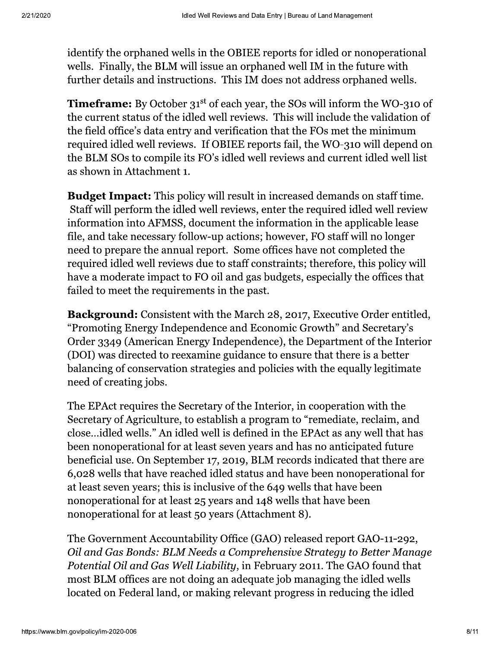identify the orphaned wells in the OBIEE reports for idled or nonoperational wells. Finally, the BLM will issue an orphaned well IM in the future with further details and instructions. This IM does not address orphaned wells.

**Timeframe:** By October 31<sup>st</sup> of each year, the SOs will inform the WO-310 of the current status of the idled well reviews. This will include the validation of the field office's data entry and verification that the FOs met the minimum required idled well reviews. If OBIEE reports fail, the WO-310 will depend on the BLM SOs to compile its FO's idled well reviews and current idled well list as shown in Attachment 1.

**Budget Impact:** This policy will result in increased demands on staff time. Staff will perform the idled well reviews, enter the required idled well review information into AFMSS, document the information in the applicable lease file, and take necessary follow-up actions; however, FO staff will no longer need to prepare the annual report. Some offices have not completed the required idled well reviews due to staff constraints; therefore, this policy will have a moderate impact to FO oil and gas budgets, especially the offices that failed to meet the requirements in the past.

**Background:** Consistent with the March 28, 2017, Executive Order entitled, "Promoting Energy Independence and Economic Growth" and Secretary's Order 3349 (American Energy Independence), the Department of the Interior (DOI) was directed to reexamine guidance to ensure that there is a better balancing of conservation strategies and policies with the equally legitimate need of creating jobs.

The EPAct requires the Secretary of the Interior, in cooperation with the Secretary of Agriculture, to establish a program to "remediate, reclaim, and close...idled wells." An idled well is defined in the EPAct as any well that has been nonoperational for at least seven years and has no anticipated future beneficial use. On September 17, 2019, BLM records indicated that there are 6,028 wells that have reached idled status and have been nonoperational for at least seven years; this is inclusive of the 649 wells that have been nonoperational for at least 25 years and 148 wells that have been nonoperational for at least 50 years (Attachment 8).

The Government Accountability Office (GAO) released report GAO-11-292, Oil and Gas Bonds: BLM Needs a Comprehensive Strategy to Better Manage Potential Oil and Gas Well Liability, in February 2011. The GAO found that most BLM offices are not doing an adequate job managing the idled wells located on Federal land, or making relevant progress in reducing the idled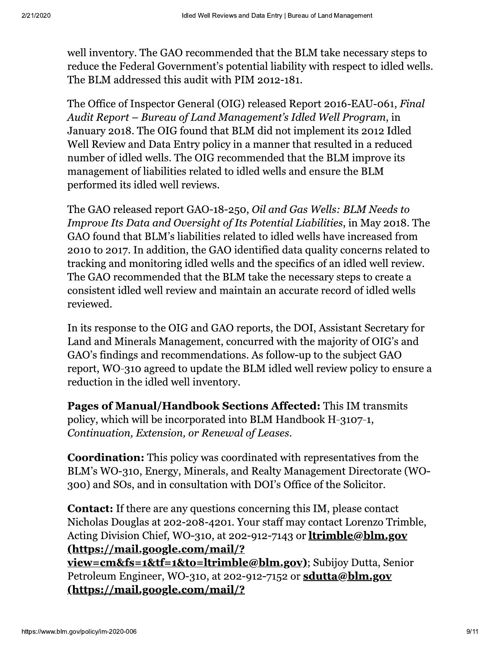well inventory. The GAO recommended that the BLM take necessary steps to reduce the Federal Government's potential liability with respect to idled wells. The BLM addressed this audit with PIM 2012-181.

The Office of Inspector General (OIG) released Report 2016-EAU-061, Final Audit Report – Bureau of Land Management's Idled Well Program, in January 2018. The OIG found that BLM did not implement its 2012 Idled Well Review and Data Entry policy in a manner that resulted in a reduced number of idled wells. The OIG recommended that the BLM improve its management of liabilities related to idled wells and ensure the BLM performed its idled well reviews.

The GAO released report GAO-18-250, Oil and Gas Wells: BLM Needs to Improve Its Data and Oversight of Its Potential Liabilities, in May 2018. The GAO found that BLM's liabilities related to idled wells have increased from 2010 to 2017. In addition, the GAO identified data quality concerns related to tracking and monitoring idled wells and the specifics of an idled well review. The GAO recommended that the BLM take the necessary steps to create a consistent idled well review and maintain an accurate record of idled wells reviewed.

In its response to the OIG and GAO reports, the DOI, Assistant Secretary for Land and Minerals Management, concurred with the majority of OIG's and GAO's findings and recommendations. As follow-up to the subject GAO report, WO-310 agreed to update the BLM idled well review policy to ensure a reduction in the idled well inventory.

**Pages of Manual/Handbook Sections Affected:** This IM transmits policy, which will be incorporated into BLM Handbook H-3107-1, Continuation, Extension, or Renewal of Leases.

**Coordination:** This policy was coordinated with representatives from the BLM's WO-310, Energy, Minerals, and Realty Management Directorate (WO-300) and SOs, and in consultation with DOI's Office of the Solicitor.

**Contact:** If there are any questions concerning this IM, please contact Nicholas Douglas at 202-208-4201. Your staff may contact Lorenzo Trimble, Acting Division Chief, WO-310, at 202-912-7143 or **ltrimble@blm.gov** (https://mail.google.com/mail/?

view=cm&fs=1&tf=1&to=ltrimble@blm.gov); Subijov Dutta, Senior Petroleum Engineer, WO-310, at 202-912-7152 or sdutta@blm.gov (https://mail.google.com/mail/?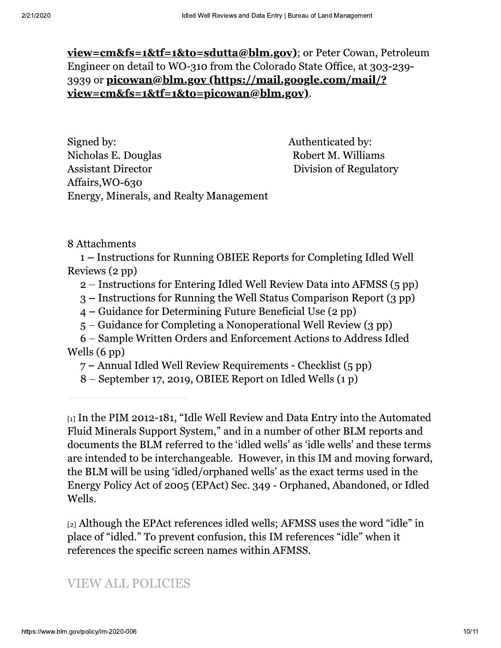<u>view=cm&fs=1&tf=1&to=sdutta@blm.gov)</u>; or Peter Cowan, Petroleum Engineer on detail to WO-310 from the Colorado State Office, at 303-239-3939 or picowan@blm.gov (https://mail.google.com/mail/? <u>view=cm&fs=1&tf=1&to=picowan@blm.gov)</u>.

Signed by: Nicholas E. Douglas **Assistant Director** Affairs, WO-630 Energy, Minerals, and Realty Management Authenticated by: Robert M. Williams **Division of Regulatory** 

8 Attachments

1 – Instructions for Running OBIEE Reports for Completing Idled Well Reviews (2 pp)

- 2 Instructions for Entering Idled Well Review Data into AFMSS (5 pp)
- 3 Instructions for Running the Well Status Comparison Report (3 pp)
- $4 -$  Guidance for Determining Future Beneficial Use  $(2 \text{ pp})$
- 5 Guidance for Completing a Nonoperational Well Review (3 pp)

6 – Sample Written Orders and Enforcement Actions to Address Idled Wells  $(6 \text{ pp})$ 

7 – Annual Idled Well Review Requirements - Checklist (5 pp)

8 – September 17, 2019, OBIEE Report on Idled Wells (1 p)

 $_{[1]}$  In the PIM 2012-181, "Idle Well Review and Data Entry into the Automated Fluid Minerals Support System," and in a number of other BLM reports and documents the BLM referred to the 'idled wells' as 'idle wells' and these terms are intended to be interchangeable. However, in this IM and moving forward, the BLM will be using 'idled/orphaned wells' as the exact terms used in the Energy Policy Act of 2005 (EPAct) Sec. 349 - Orphaned, Abandoned, or Idled Wells.

 $_{[2]}$  Although the EPAct references idled wells; AFMSS uses the word "idle" in place of "idled." To prevent confusion, this IM references "idle" when it references the specific screen names within AFMSS.

# **VIEW ALL POLICIES**